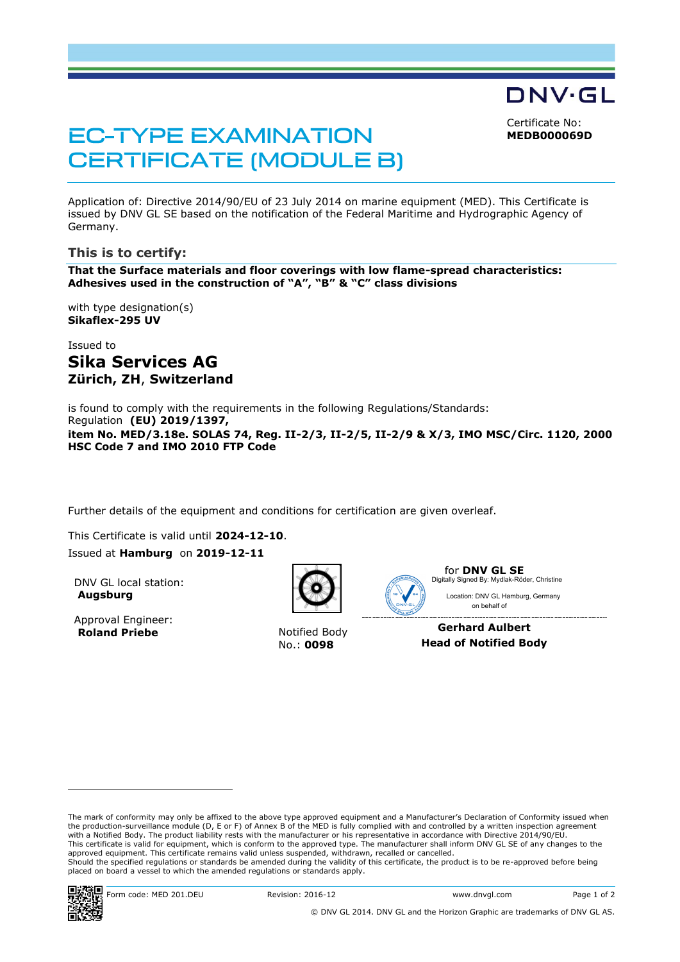Certificate No:

DNV·GL

**MEDB000069D**

# **EC-TYPE EXAMINATION CERTIFICATE (MODULE B)**

Application of: Directive 2014/90/EU of 23 July 2014 on marine equipment (MED). This Certificate is issued by DNV GL SE based on the notification of the Federal Maritime and Hydrographic Agency of Germany.

### **This is to certify:**

**That the Surface materials and floor coverings with low flame-spread characteristics: Adhesives used in the construction of "A", "B" & "C" class divisions**

with type designation(s) **Sikaflex-295 UV**

## Issued to **Sika Services AG Zürich, ZH**, **Switzerland**

is found to comply with the requirements in the following Regulations/Standards: Regulation **(EU) 2019/1397, item No. MED/3.18e. SOLAS 74, Reg. II-2/3, II-2/5, II-2/9 & X/3, IMO MSC/Circ. 1120, 2000 HSC Code 7 and IMO 2010 FTP Code**

Further details of the equipment and conditions for certification are given overleaf.

This Certificate is valid until **2024-12-10**.

Issued at **Hamburg** on **2019-12-11**

DNV GL local station: **Augsburg**

Approval Engineer: **Roland Priebe** Notified Body



No.: **0098**



for **DNV GL SE** Location: DNV GL Hamburg, Germany Digitally Signed By: Mydlak-Röder, Christine

**Gerhard Aulbert Head of Notified Body**

on behalf of

ı

The mark of conformity may only be affixed to the above type approved equipment and a Manufacturer's Declaration of Conformity issued when the production-surveillance module (D, E or F) of Annex B of the MED is fully complied with and controlled by a written inspection agreement with a Notified Body. The product liability rests with the manufacturer or his representative in accordance with Directive 2014/90/EU. This certificate is valid for equipment, which is conform to the approved type. The manufacturer shall inform DNV GL SE of any changes to the approved equipment. This certificate remains valid unless suspended, withdrawn, recalled or cancelled. Should the specified regulations or standards be amended during the validity of this certificate, the product is to be re-approved before being placed on board a vessel to which the amended regulations or standards apply.